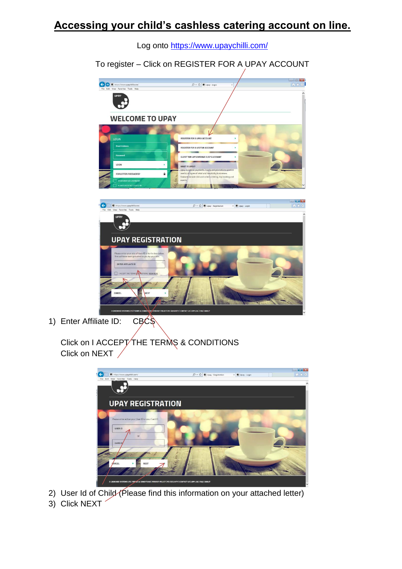## **Accessing your child's cashless catering account on line.**



Log onto<https://www.upaychilli.com/>

To register – Click on REGISTER FOR A UPAY ACCOUNT

1) Enter Affiliate ID:  $CB\overline{C}\$ 

Click on I ACCEPT THE TERMS & CONDITIONS Click on NEXT /



2) User Id of Child (Please find this information on your attached letter)

3) Click NEXT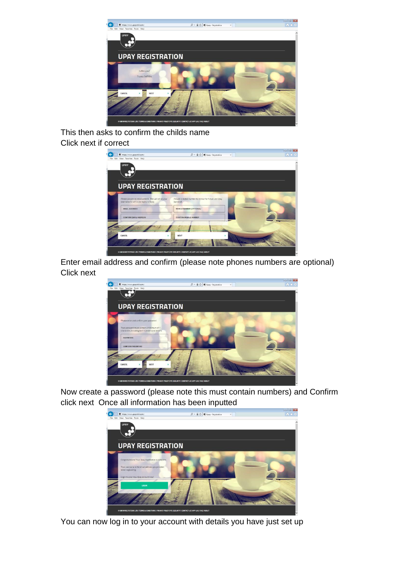

This then asks to confirm the childs name Click next if correct

| https://www.upaychilli.com/<br>Ø)                                                                | $\mathcal{Q}$ = $\triangleq$ $\bigcirc$ $\bigcirc$ Upay - Registration<br>$^{\times}$ | $h * 0$ |
|--------------------------------------------------------------------------------------------------|---------------------------------------------------------------------------------------|---------|
| File Edit View Favorites Tools Help                                                              |                                                                                       |         |
| <b>UPAY</b>                                                                                      |                                                                                       |         |
|                                                                                                  |                                                                                       |         |
|                                                                                                  |                                                                                       |         |
|                                                                                                  |                                                                                       |         |
|                                                                                                  |                                                                                       |         |
| <b>UPAY REGISTRATION</b>                                                                         |                                                                                       |         |
|                                                                                                  |                                                                                       |         |
|                                                                                                  |                                                                                       |         |
|                                                                                                  |                                                                                       |         |
| Please provide an email address. This will act as your<br>usemame for all future logins to Upay. | Provide a mobile number to receive for future use Upay<br>(optional).                 |         |
| <b>FMAIL ADDRESS</b>                                                                             |                                                                                       |         |
|                                                                                                  | <b>MOBILE NUMBER (OPTIONAL)</b>                                                       |         |
| <b>CONFIRM EMAIL ADDRESS</b>                                                                     | <b>CONFIRM MOBILE NUMBER</b>                                                          |         |
|                                                                                                  |                                                                                       |         |
|                                                                                                  |                                                                                       |         |
|                                                                                                  |                                                                                       |         |
| CANCEL                                                                                           | <b>NEXT</b>                                                                           |         |
|                                                                                                  |                                                                                       |         |

Enter email address and confirm (please note phones numbers are optional) Click next



Now create a password (please note this must contain numbers) and Confirm click next Once all information has been inputted



You can now log in to your account with details you have just set up